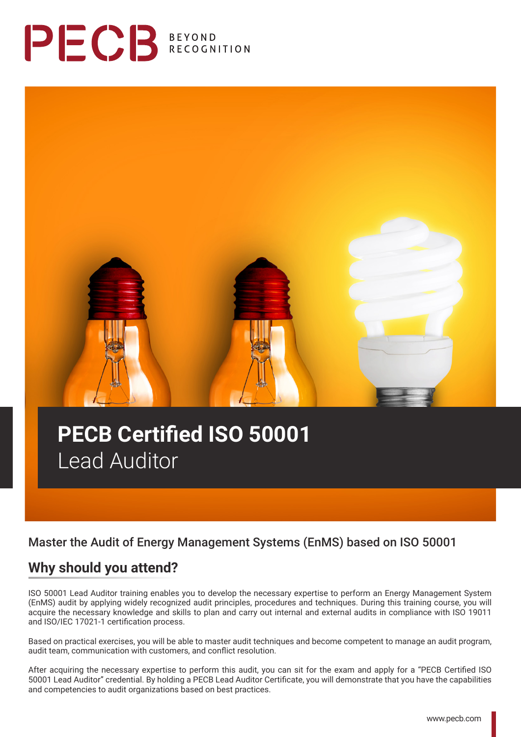



# **PECB Certified ISO 50001**  Lead Auditor

## Master the Audit of Energy Management Systems (EnMS) based on ISO 50001

## **Why should you attend?**

ISO 50001 Lead Auditor training enables you to develop the necessary expertise to perform an Energy Management System (EnMS) audit by applying widely recognized audit principles, procedures and techniques. During this training course, you will acquire the necessary knowledge and skills to plan and carry out internal and external audits in compliance with ISO 19011 and ISO/IEC 17021-1 certification process.

Based on practical exercises, you will be able to master audit techniques and become competent to manage an audit program, audit team, communication with customers, and conflict resolution.

After acquiring the necessary expertise to perform this audit, you can sit for the exam and apply for a "PECB Certified ISO 50001 Lead Auditor" credential. By holding a PECB Lead Auditor Certificate, you will demonstrate that you have the capabilities and competencies to audit organizations based on best practices.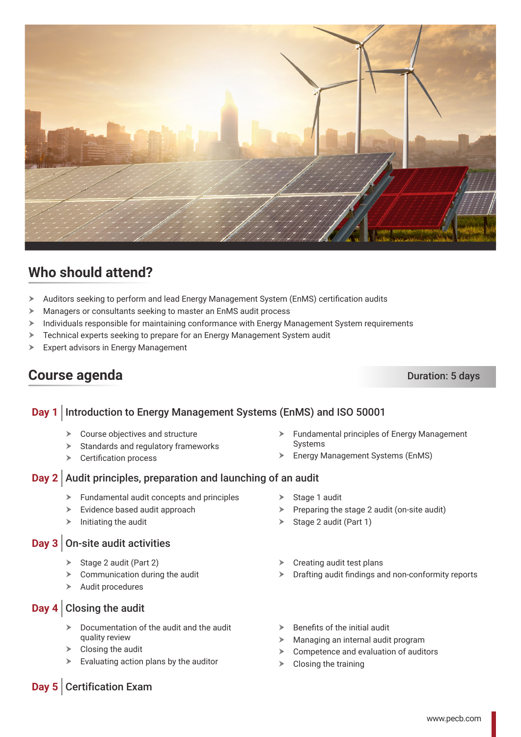

## **Who should attend?**

- $\triangleright$  Auditors seeking to perform and lead Energy Management System (EnMS) certification audits
- $\blacktriangleright$  Managers or consultants seeking to master an EnMS audit process
- $\triangleright$  Individuals responsible for maintaining conformance with Energy Management System requirements
- > Technical experts seeking to prepare for an Energy Management System audit
- $\triangleright$  Expert advisors in Energy Management

## **Course agenda** Duration: 5 days

### **Day 1** Introduction to Energy Management Systems (EnMS) and ISO 50001

- $\triangleright$  Course objectives and structure
- $\blacktriangleright$  Standards and regulatory frameworks
- $\triangleright$  Certification process
- **Day 2** Audit principles, preparation and launching of an audit
	- $\blacktriangleright$  Fundamental audit concepts and principles
	- $\blacktriangleright$  Evidence based audit approach
	- $\blacktriangleright$  Initiating the audit

#### **Day 3** On-site audit activities

- $\triangleright$  Stage 2 audit (Part 2)
- $\triangleright$  Communication during the audit
- $\blacktriangleright$  Audit procedures

#### **Day 4** Closing the audit

- $\triangleright$  Documentation of the audit and the audit quality review
- $\triangleright$  Closing the audit
- $\blacktriangleright$  Evaluating action plans by the auditor
- $\blacktriangleright$  Fundamental principles of Energy Management Systems
- $\triangleright$  Energy Management Systems (EnMS)
- $\triangleright$  Stage 1 audit
- $\triangleright$  Preparing the stage 2 audit (on-site audit)
- $\triangleright$  Stage 2 audit (Part 1)
- Creating audit test plans
- $\triangleright$  Drafting audit findings and non-conformity reports
- $\triangleright$  Benefits of the initial audit
- $\triangleright$  Managing an internal audit program
- $\triangleright$  Competence and evaluation of auditors
- $\triangleright$  Closing the training

### **Day 5** Certification Exam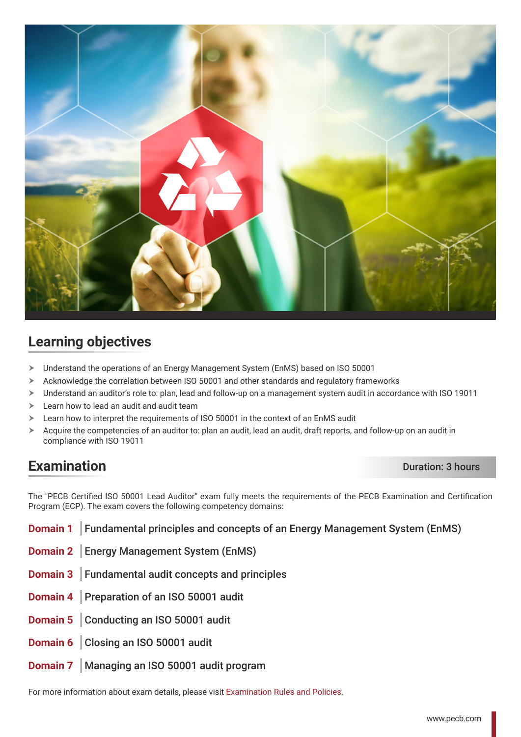

## **Learning objectives**

- > Understand the operations of an Energy Management System (EnMS) based on ISO 50001
- $\triangleright$  Acknowledge the correlation between ISO 50001 and other standards and regulatory frameworks
- $\triangleright$  Understand an auditor's role to: plan, lead and follow-up on a management system audit in accordance with ISO 19011
- $\blacktriangleright$  Learn how to lead an audit and audit team
- $\geq$  Learn how to interpret the requirements of ISO 50001 in the context of an EnMS audit
- $\triangleright$  Acquire the competencies of an auditor to: plan an audit, lead an audit, draft reports, and follow-up on an audit in compliance with ISO 19011

## **Examination** Duration: 3 hours

The "PECB Certified ISO 50001 Lead Auditor" exam fully meets the requirements of the PECB Examination and Certification Program (ECP). The exam covers the following competency domains:

- **Domain 1** Fundamental principles and concepts of an Energy Management System (EnMS)
- **Domain 2** Energy Management System (EnMS)
- **Domain 3** Fundamental audit concepts and principles
- **Domain 4** Preparation of an ISO 50001 audit
- **Domain 5** Conducting an ISO 50001 audit
- **Domain 6** Closing an ISO 50001 audit
- **Domain 7** | Managing an ISO 50001 audit program

For more information about exam details, please visit [Examination Rules and Policies](https://pecb.com/en/examination-rules-and-policies).